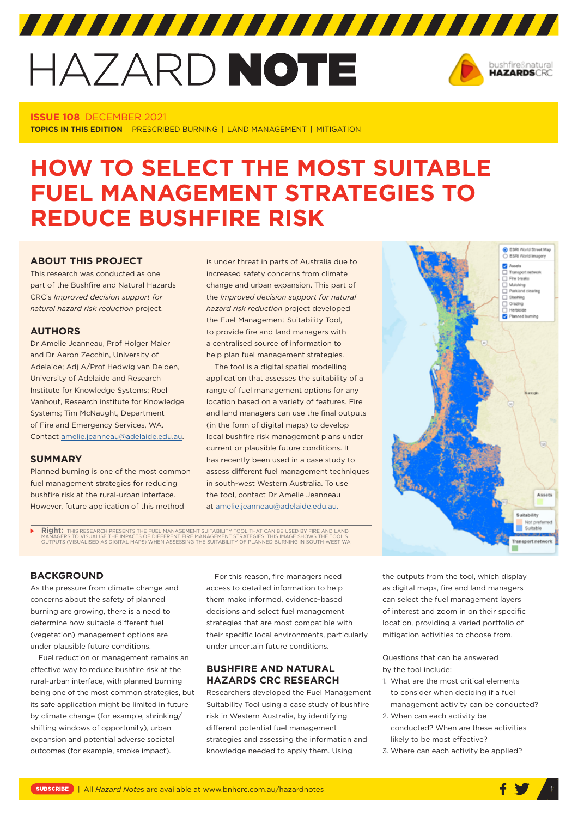# HAZARD NOTE



## **ISSUE 108** DECEMBER 2021

**TOPICS IN THIS EDITION** | PRESCRIBED BURNING | LAND MANAGEMENT | MITIGATION

# **HOW TO SELECT THE MOST SUITABLE FUEL MANAGEMENT STRATEGIES TO REDUCE BUSHFIRE RISK**

## **ABOUT THIS PROJECT**

This research was conducted as one part of the Bushfire and Natural Hazards CRC's *Improved decision support for natural hazard risk reduction* project.

#### **AUTHORS**

Dr Amelie Jeanneau, Prof Holger Maier and Dr Aaron Zecchin, University of Adelaide; Adj A/Prof Hedwig van Delden, University of Adelaide and Research Institute for Knowledge Systems; Roel Vanhout, Research institute for Knowledge Systems; Tim McNaught, Department of Fire and Emergency Services, WA. Contact [amelie.jeanneau@adelaide.edu.au.](mailto:amelie.jeanneau@adelaide.edu.au)

#### **SUMMARY**

Planned burning is one of the most common fuel management strategies for reducing bushfire risk at the rural-urban interface. However, future application of this method

is under threat in parts of Australia due to increased safety concerns from climate change and urban expansion. This part of the *Improved decision support for natural hazard risk reduction* project developed the Fuel Management Suitability Tool, to provide fire and land managers with a centralised source of information to help plan fuel management strategies.

The tool is a digital spatial modelling application that assesses the suitability of a range of fuel management options for any location based on a variety of features. Fire and land managers can use the final outputs (in the form of digital maps) to develop local bushfire risk management plans under current or plausible future conditions. It has recently been used in a case study to assess different fuel management techniques in south-west Western Australia. To use the tool, contact Dr Amelie Jeanneau at [amelie.jeanneau@adelaide.edu.au.](mailto:amelie.jeanneau@adelaide.edu.au)

**Right:** THIS RESEARCH PRESENTS THE FUEL MANAGEMENT SUITABILITY TOOL THAT CAN BE USED BY FIRE AND LAND<br>MANAGERS TO VISUALISE THE IMPACTS OF DIFFERENT FIRE MANAGEMENT STRATEGIES. THIS IMAGE SHOWS THE TOOL'S<br>OUTPUTS (VISUALI



#### **BACKGROUND**

As the pressure from climate change and concerns about the safety of planned burning are growing, there is a need to determine how suitable different fuel (vegetation) management options are under plausible future conditions.

Fuel reduction or management remains an effective way to reduce bushfire risk at the rural-urban interface, with planned burning being one of the most common strategies, but its safe application might be limited in future by climate change (for example, shrinking/ shifting windows of opportunity), urban expansion and potential adverse societal outcomes (for example, smoke impact).

For this reason, fire managers need access to detailed information to help them make informed, evidence-based decisions and select fuel management strategies that are most compatible with their specific local environments, particularly under uncertain future conditions.

# **BUSHFIRE AND NATURAL HAZARDS CRC RESEARCH**

Researchers developed the Fuel Management Suitability Tool using a case study of bushfire risk in Western Australia, by identifying different potential fuel management strategies and assessing the information and knowledge needed to apply them. Using

the outputs from the tool, which display as digital maps, fire and land managers can select the fuel management layers of interest and zoom in on their specific location, providing a varied portfolio of mitigation activities to choose from.

Questions that can be answered by the tool include:

- 1. What are the most critical elements to consider when deciding if a fuel management activity can be conducted?
- 2. When can each activity be conducted? When are these activities likely to be most effective?
- 3. Where can each activity be applied?